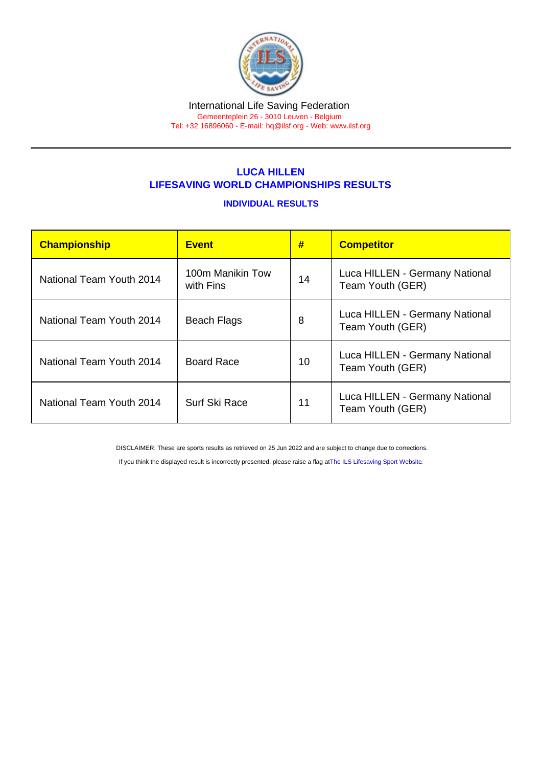#### International Life Saving Federation Gemeenteplein 26 - 3010 Leuven - Belgium

Tel: +32 16896060 - E-mail: [hq@ilsf.org](mailto:hq@ilsf.org) - Web: [www.ilsf.org](https://www.ilsf.org)

## LUCA HILLEN LIFESAVING WORLD CHAMPIONSHIPS RESULTS

#### INDIVIDUAL RESULTS

| Championship             | <b>Event</b>                  | #  | <b>Competitor</b>                                  |
|--------------------------|-------------------------------|----|----------------------------------------------------|
| National Team Youth 2014 | 100m Manikin Tow<br>with Fins | 14 | Luca HILLEN - Germany National<br>Team Youth (GER) |
| National Team Youth 2014 | <b>Beach Flags</b>            | 8  | Luca HILLEN - Germany National<br>Team Youth (GER) |
| National Team Youth 2014 | <b>Board Race</b>             | 10 | Luca HILLEN - Germany National<br>Team Youth (GER) |
| National Team Youth 2014 | Surf Ski Race                 | 11 | Luca HILLEN - Germany National<br>Team Youth (GER) |

DISCLAIMER: These are sports results as retrieved on 25 Jun 2022 and are subject to change due to corrections.

If you think the displayed result is incorrectly presented, please raise a flag at [The ILS Lifesaving Sport Website.](https://sport.ilsf.org)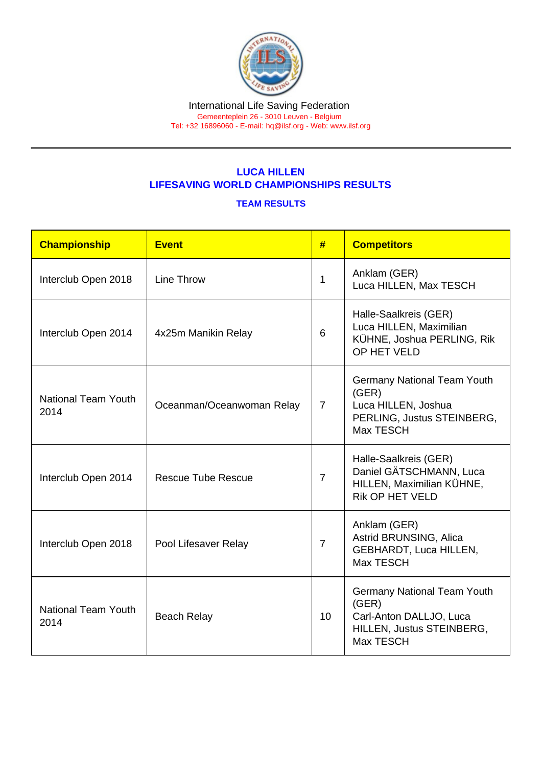# LUCA HILLEN LIFESAVING WORLD CHAMPIONSHIPS RESULTS

### TEAM RESULTS

| Championship                       | Event                     | #              | <b>Competitors</b>                                                                                               |
|------------------------------------|---------------------------|----------------|------------------------------------------------------------------------------------------------------------------|
| Interclub Open 2018                | Line Throw                | 1              | Anklam (GER)<br>Luca HILLEN, Max TESCH                                                                           |
| Interclub Open 2014                | 4x25m Manikin Relay       | 6              | Halle-Saalkreis (GER)<br>Luca HILLEN, Maximilian<br>KÜHNE, Joshua PERLING, Rik<br>OP HET VELD                    |
| <b>National Team Youth</b><br>2014 | Oceanman/Oceanwoman Relay | $\overline{7}$ | <b>Germany National Team Youth</b><br>(GER)<br>Luca HILLEN, Joshua<br>PERLING, Justus STEINBERG,<br>Max TESCH    |
| Interclub Open 2014                | <b>Rescue Tube Rescue</b> | $\overline{7}$ | Halle-Saalkreis (GER)<br>Daniel GÄTSCHMANN, Luca<br>HILLEN, Maximilian KÜHNE,<br><b>Rik OP HET VELD</b>          |
| Interclub Open 2018                | Pool Lifesaver Relay      | $\overline{7}$ | Anklam (GER)<br>Astrid BRUNSING, Alica<br>GEBHARDT, Luca HILLEN,<br>Max TESCH                                    |
| <b>National Team Youth</b><br>2014 | <b>Beach Relay</b>        | 10             | <b>Germany National Team Youth</b><br>(GER)<br>Carl-Anton DALLJO, Luca<br>HILLEN, Justus STEINBERG,<br>Max TESCH |